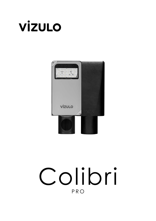



# Colibri PRO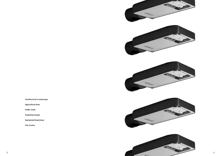**Architectural & Landscape**

**Agricultural Area**

**Traffic roads**

**Pedestrian Roads**

**Residental Street/Area**

**City Centre**



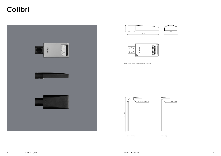

## **Colibri**

side entry





post top





Max.wind load area, SCd, m<sup>2</sup>: 0,025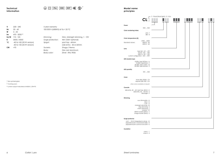

### **Technical information**

|                           |                                                        |                                  |                                 |                                                       | F - Flood (flood light)   E - Ecc |
|---------------------------|--------------------------------------------------------|----------------------------------|---------------------------------|-------------------------------------------------------|-----------------------------------|
|                           |                                                        |                                  |                                 | CL.                                                   |                                   |
|                           |                                                        |                                  |                                 |                                                       |                                   |
|                           |                                                        |                                  |                                 | Power                                                 |                                   |
| V                         | $220 - 240$                                            | 5 year warranty                  |                                 | 005045                                                |                                   |
| Hz                        | $50 - 60$                                              | 100 000 h (L80B10) at Ta = 25 °C |                                 | Color rendering index                                 |                                   |
| W                         | $5 - 45$                                               |                                  |                                 | $270 - 7$                                             |                                   |
| lm                        | 470 - 5050 (3                                          |                                  |                                 | $\geq 80$ - $8$                                       |                                   |
| Im/W                      | $115 - 125$                                            | Dimming:                         | DALI, Midnight dimming, 1 - 10V | Color temperature [K]                                 |                                   |
| K                         | 3000 / 4000                                            | Surge protection:                | 4kV (10kV optional)             | 2700  6500                                            |                                   |
| $^{\circ}$ C              | -40 to +50 (35 W version)                              | Spigot:                          | post top - 60mm                 | 3000 K - 30<br>Standard values:<br>4000 K - 40        |                                   |
|                           | -40 to +35 (45 W version)                              |                                  | side entry - 42 or 60mm         |                                                       |                                   |
| <b>CRI</b>                | $>70$                                                  | Sockets:                         | Zhaga / Nema                    | Lens                                                  |                                   |
|                           |                                                        | Body:                            | Die-cast aluminum               | type 2x2 - L01  L99                                   |                                   |
|                           |                                                        | Body color:                      | Silver - RAL 9006               | type 8 - V01  V99<br>type 16 - S01  S99               |                                   |
|                           |                                                        |                                  |                                 | custom configuration - M01  N99                       |                                   |
|                           |                                                        |                                  |                                 | LED module type                                       |                                   |
|                           |                                                        |                                  |                                 | 8 LEDs, type 2x2 lens - A                             |                                   |
|                           |                                                        |                                  |                                 | 16 LEDs, type 8 lens - F<br>32 LEDs, type 16 lens - Q |                                   |
|                           |                                                        |                                  |                                 | 32 LEDs, type 2x2 lens - S                            |                                   |
|                           |                                                        |                                  |                                 | LED quantity                                          |                                   |
|                           |                                                        |                                  |                                 | 001032                                                |                                   |
|                           |                                                        |                                  |                                 |                                                       |                                   |
|                           |                                                        |                                  |                                 | Color                                                 |                                   |
|                           |                                                        |                                  |                                 | sliver (RAL 9006) - CS                                |                                   |
|                           | <sup>(1</sup> Non-printed glass                        |                                  |                                 | asphalt (DB 703) - CA                                 |                                   |
| <sup>(2</sup> Coming soon |                                                        |                                  |                                 | other colors available on request                     |                                   |
|                           | <sup>(3</sup> Lumen output indicated at 4000 K, CRI>70 |                                  |                                 | Console                                               |                                   |
|                           |                                                        |                                  |                                 | side-entry, 42  60 / post top, 60mm - K               |                                   |
|                           |                                                        |                                  |                                 | side-entry, 42  60 mm - S                             |                                   |
|                           |                                                        |                                  |                                 | flood light - F                                       |                                   |
|                           |                                                        |                                  |                                 | Dimming                                               |                                   |
|                           |                                                        |                                  |                                 | non dimmable - N                                      |                                   |
|                           |                                                        |                                  |                                 | DALI - D                                              |                                   |
|                           |                                                        |                                  |                                 | $1-10V - A$<br>midnight dimming - M                   |                                   |
|                           |                                                        |                                  |                                 | step dimming - S<br>mains dimming - L                 |                                   |
|                           |                                                        |                                  |                                 | wireless - W                                          |                                   |
|                           |                                                        |                                  |                                 | NEMA socket (DALI) - Y<br>Zhaga socket (DALI) - Z     |                                   |
|                           |                                                        |                                  |                                 |                                                       |                                   |
|                           |                                                        |                                  |                                 | Surge protector                                       |                                   |
|                           |                                                        |                                  |                                 | 6 kV  10 kV integrated in driver - G                  |                                   |
|                           |                                                        |                                  |                                 | separate built-in 10 kV/10 kA SPD - H                 |                                   |
|                           |                                                        |                                  |                                 | separate built-in 30 kV/15 kA SPD - K                 |                                   |
|                           |                                                        |                                  |                                 | Insulation                                            |                                   |
|                           |                                                        |                                  |                                 | class I - 1                                           |                                   |
|                           |                                                        |                                  |                                 | class II - 2                                          |                                   |
|                           |                                                        |                                  |                                 |                                                       |                                   |
|                           |                                                        |                                  |                                 |                                                       |                                   |
|                           |                                                        |                                  |                                 |                                                       |                                   |
|                           |                                                        |                                  |                                 |                                                       |                                   |
|                           |                                                        |                                  |                                 |                                                       |                                   |
|                           |                                                        |                                  |                                 |                                                       |                                   |



### **Model name principles**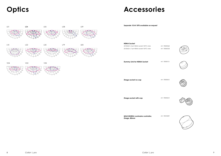### **Accessories**

*Art. 70000362 Art. 70000333*



*<i><u>0113</u>* 



0612







**MSLC205RGL Luminaire controller, Zhaga, 80mm**

*Art. 70010029*

| LO1             | L <sub>04</sub> | L <sub>05</sub> | L08 | L09 | Separate 10 kV SPD available on request                        |               |
|-----------------|-----------------|-----------------|-----|-----|----------------------------------------------------------------|---------------|
|                 |                 |                 |     |     |                                                                |               |
| L10             | L22             | L35             | L79 | L83 | <b>NEMA Socket</b><br>2213362-3, 5 pin NEMA socket 105°C wires | Art. 70000362 |
|                 |                 |                 |     |     | 2213362-4, 7 pin NEMA socket 105°C wires                       | Art. 70000333 |
| V <sub>04</sub> | V <sub>22</sub> | V35             |     |     | Dummy Link for NEMA Socket                                     | Art. 70000113 |
|                 |                 |                 |     |     |                                                                |               |
|                 |                 |                 |     |     | Zhaga socket no cap                                            | Art. 70000612 |
|                 |                 |                 |     |     |                                                                |               |
|                 |                 |                 |     |     | Zhaga socket with cap                                          | Art. 70000613 |
|                 |                 |                 |     |     |                                                                |               |

**Optics**